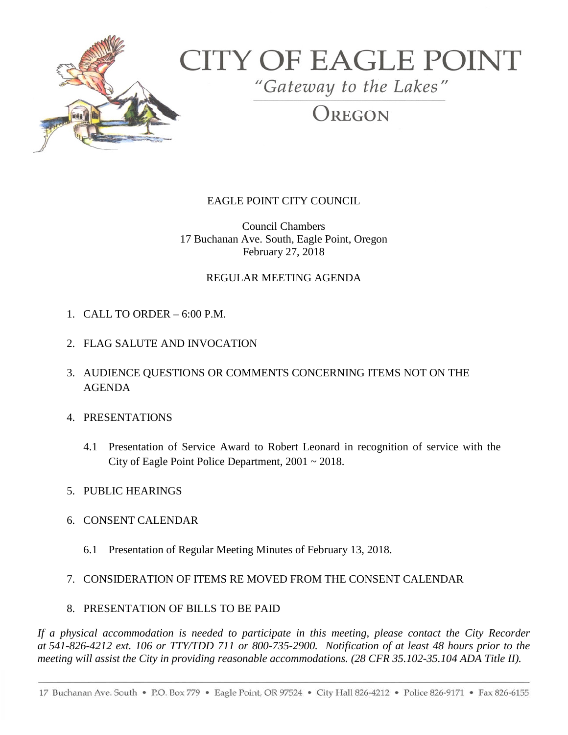

# **CITY OF EAGLE POINT**

"Gateway to the Lakes"

OREGON

# EAGLE POINT CITY COUNCIL

Council Chambers 17 Buchanan Ave. South, Eagle Point, Oregon February 27, 2018

## REGULAR MEETING AGENDA

- 1. CALL TO ORDER 6:00 P.M.
- 2. FLAG SALUTE AND INVOCATION
- 3. AUDIENCE QUESTIONS OR COMMENTS CONCERNING ITEMS NOT ON THE AGENDA
- 4. PRESENTATIONS
	- 4.1 Presentation of Service Award to Robert Leonard in recognition of service with the City of Eagle Point Police Department, 2001 ~ 2018.
- 5. PUBLIC HEARINGS
- 6. CONSENT CALENDAR
	- 6.1 Presentation of Regular Meeting Minutes of February 13, 2018.

## 7. CONSIDERATION OF ITEMS RE MOVED FROM THE CONSENT CALENDAR

## 8. PRESENTATION OF BILLS TO BE PAID

*If a physical accommodation is needed to participate in this meeting, please contact the City Recorder at 541-826-4212 ext. 106 or TTY/TDD 711 or 800-735-2900. Notification of at least 48 hours prior to the meeting will assist the City in providing reasonable accommodations. (28 CFR 35.102-35.104 ADA Title II).*